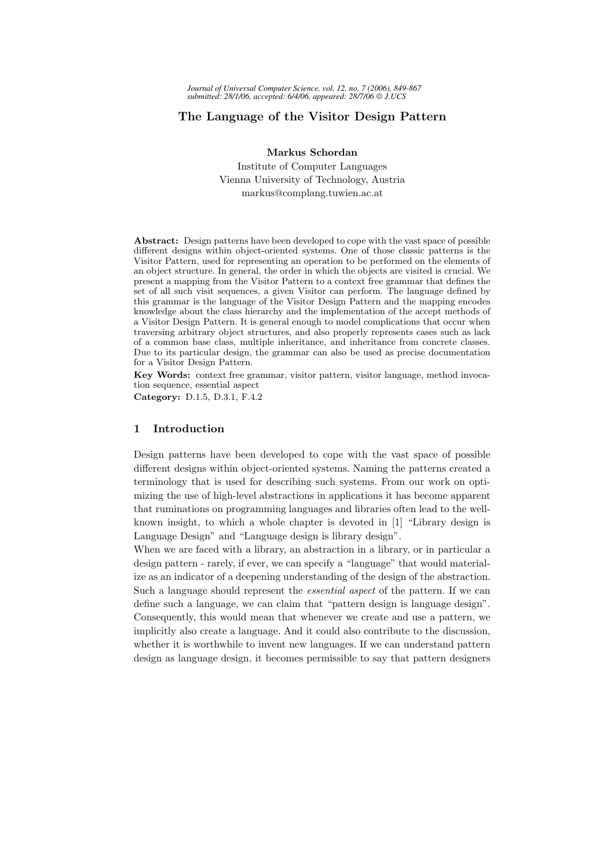# The Language of the Visitor Design Pattern

Markus Schordan Institute of Computer Languages Vienna University of Technology, Austria markus@complang.tuwien.ac.at

Abstract: Design patterns have been developed to cope with the vast space of possible different designs within object-oriented systems. One of those classic patterns is the Visitor Pattern, used for representing an operation to be performed on the elements of an object structure. In general, the order in which the objects are visited is crucial. We present a mapping from the Visitor Pattern to a context free grammar that defines the set of all such visit sequences, a given Visitor can perform. The language defined by this grammar is the language of the Visitor Design Pattern and the mapping encodes knowledge about the class hierarchy and the implementation of the accept methods of a Visitor Design Pattern. It is general enough to model complications that occur when traversing arbitrary object structures, and also properly represents cases such as lack of a common base class, multiple inheritance, and inheritance from concrete classes. Due to its particular design, the grammar can also be used as precise documentation for a Visitor Design Pattern.

Key Words: context free grammar, visitor pattern, visitor language, method invocation sequence, essential aspect

Category: D.1.5, D.3.1, F.4.2

## 1 Introduction

Design patterns have been developed to cope with the vast space of possible different designs within object-oriented systems. Naming the patterns created a terminology that is used for describing such systems. From our work on optimizing the use of high-level abstractions in applications it has become apparent that ruminations on programming languages and libraries often lead to the wellknown insight, to which a whole chapter is devoted in [1] "Library design is Language Design" and "Language design is library design".

When we are faced with a library, an abstraction in a library, or in particular a design pattern - rarely, if ever, we can specify a "language" that would materialize as an indicator of a deepening understanding of the design of the abstraction. Such a language should represent the essential aspect of the pattern. If we can define such a language, we can claim that "pattern design is language design". Consequently, this would mean that whenever we create and use a pattern, we implicitly also create a language. And it could also contribute to the discussion, whether it is worthwhile to invent new languages. If we can understand pattern design as language design, it becomes permissible to say that pattern designers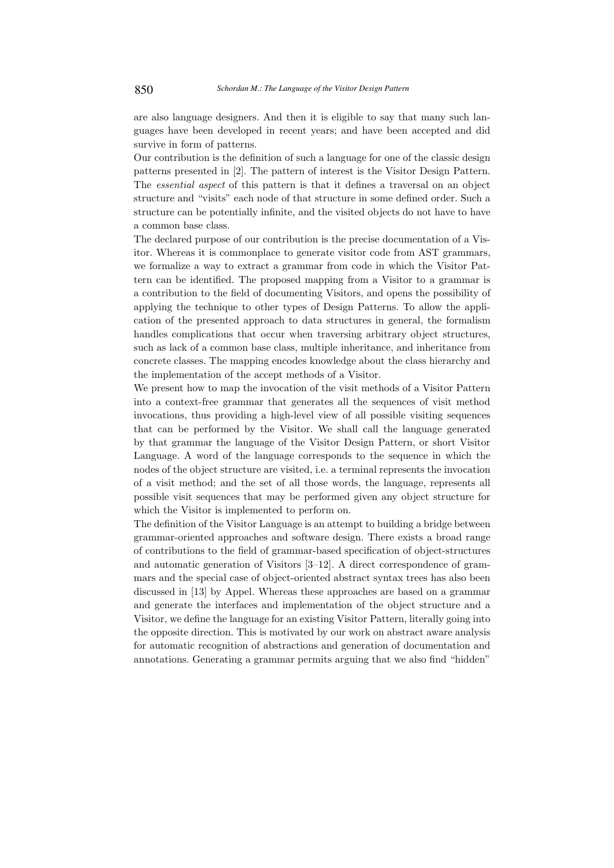are also language designers. And then it is eligible to say that many such languages have been developed in recent years; and have been accepted and did survive in form of patterns.

Our contribution is the definition of such a language for one of the classic design patterns presented in [2]. The pattern of interest is the Visitor Design Pattern. The essential aspect of this pattern is that it defines a traversal on an object structure and "visits" each node of that structure in some defined order. Such a structure can be potentially infinite, and the visited objects do not have to have a common base class.

The declared purpose of our contribution is the precise documentation of a Visitor. Whereas it is commonplace to generate visitor code from AST grammars, we formalize a way to extract a grammar from code in which the Visitor Pattern can be identified. The proposed mapping from a Visitor to a grammar is a contribution to the field of documenting Visitors, and opens the possibility of applying the technique to other types of Design Patterns. To allow the application of the presented approach to data structures in general, the formalism handles complications that occur when traversing arbitrary object structures, such as lack of a common base class, multiple inheritance, and inheritance from concrete classes. The mapping encodes knowledge about the class hierarchy and the implementation of the accept methods of a Visitor.

We present how to map the invocation of the visit methods of a Visitor Pattern into a context-free grammar that generates all the sequences of visit method invocations, thus providing a high-level view of all possible visiting sequences that can be performed by the Visitor. We shall call the language generated by that grammar the language of the Visitor Design Pattern, or short Visitor Language. A word of the language corresponds to the sequence in which the nodes of the object structure are visited, i.e. a terminal represents the invocation of a visit method; and the set of all those words, the language, represents all possible visit sequences that may be performed given any object structure for which the Visitor is implemented to perform on.

The definition of the Visitor Language is an attempt to building a bridge between grammar-oriented approaches and software design. There exists a broad range of contributions to the field of grammar-based specification of object-structures and automatic generation of Visitors [3–12]. A direct correspondence of grammars and the special case of object-oriented abstract syntax trees has also been discussed in [13] by Appel. Whereas these approaches are based on a grammar and generate the interfaces and implementation of the object structure and a Visitor, we define the language for an existing Visitor Pattern, literally going into the opposite direction. This is motivated by our work on abstract aware analysis for automatic recognition of abstractions and generation of documentation and annotations. Generating a grammar permits arguing that we also find "hidden"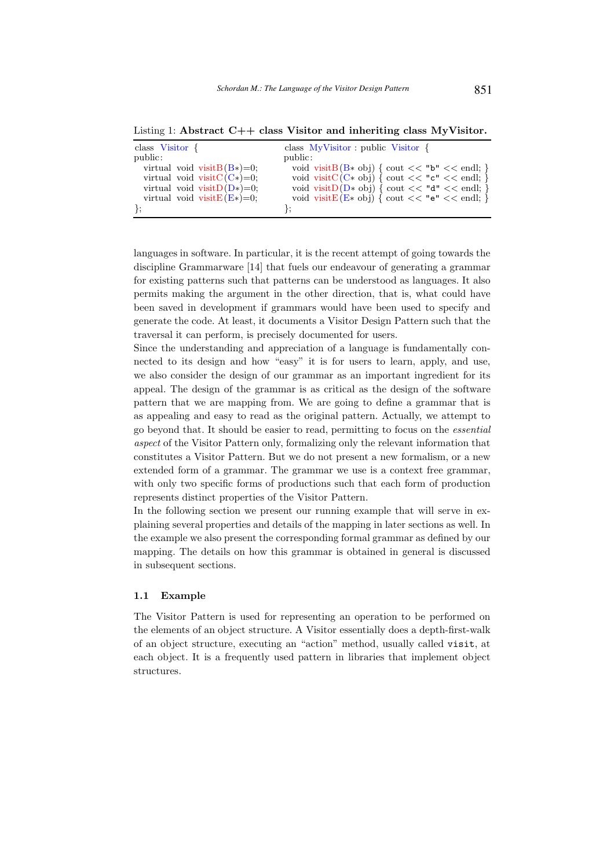Listing 1: Abstract C++ class Visitor and inheriting class MyVisitor.

| class Visitor $\{$             | class MyVisitor : public Visitor {                     |
|--------------------------------|--------------------------------------------------------|
| public:                        | public:                                                |
| virtual void visit $B(B*)=0$ ; | void visit $B(B \ast ob)$ { cout $<<$ "b" $<<$ endl; } |
| virtual void visit $C(C*)=0$ ; | void visit $C(C \ast ob)$ { cout << "c" << endl; }     |
| virtual void visit $D(D*)=0$ ; | void visit $D(D* obj)$ { cout << "d" << endl; }        |
| virtual void visit $E(E*)=0$ ; | void visit $E(E \ast obj)$ { cout << "e" << endl; }    |
|                                |                                                        |

languages in software. In particular, it is the recent attempt of going towards the discipline Grammarware [14] that fuels our endeavour of generating a grammar for existing patterns such that patterns can be understood as languages. It also permits making the argument in the other direction, that is, what could have been saved in development if grammars would have been used to specify and generate the code. At least, it documents a Visitor Design Pattern such that the traversal it can perform, is precisely documented for users.

Since the understanding and appreciation of a language is fundamentally connected to its design and how "easy" it is for users to learn, apply, and use, we also consider the design of our grammar as an important ingredient for its appeal. The design of the grammar is as critical as the design of the software pattern that we are mapping from. We are going to define a grammar that is as appealing and easy to read as the original pattern. Actually, we attempt to go beyond that. It should be easier to read, permitting to focus on the essential aspect of the Visitor Pattern only, formalizing only the relevant information that constitutes a Visitor Pattern. But we do not present a new formalism, or a new extended form of a grammar. The grammar we use is a context free grammar, with only two specific forms of productions such that each form of production represents distinct properties of the Visitor Pattern.

In the following section we present our running example that will serve in explaining several properties and details of the mapping in later sections as well. In the example we also present the corresponding formal grammar as defined by our mapping. The details on how this grammar is obtained in general is discussed in subsequent sections.

## 1.1 Example

The Visitor Pattern is used for representing an operation to be performed on the elements of an object structure. A Visitor essentially does a depth-first-walk of an object structure, executing an "action" method, usually called visit, at each object. It is a frequently used pattern in libraries that implement object structures.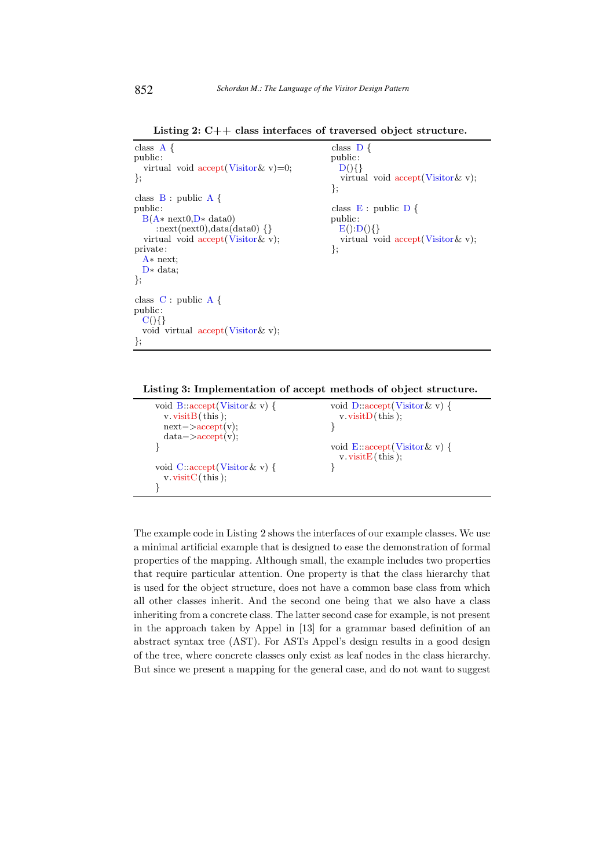Listing 2: C++ class interfaces of traversed object structure.

class  $A \{$ public: public: virtual void  $accept(Visitor \& v)=0;$   $D()$  $\}$ ; virtual void accept(Visitor & v); }; class  $B : public A \{ public$ class  $E : public D$  {  $B(A * next0,D * data0)$  public:<br>:next(next0),data(data0) {}  $E():D()$ } :next(next0),data(data0)  $\{\}$ virtual void  $\text{accept}(\text{Visitor}\& v);$  virtual void  $\text{accept}(\text{Visitor}\& v);$ <br>ivate: private: A∗ next; D∗ data; }; class C : public A { public:  $C()$ } void virtual accept(Visitor& v); };

Listing 3: Implementation of accept methods of object structure.

| void B:: $accept(Visitor \& v)$ {                                         | void $D:accept(Visitor \& v)$ {                             |
|---------------------------------------------------------------------------|-------------------------------------------------------------|
| $v \cdot \text{visitB}(\text{this});$                                     | $v. \text{visitD}(\text{this});$                            |
| $next->accept(v);$                                                        |                                                             |
| $data->accept(v);$                                                        |                                                             |
|                                                                           | void E::accept(Visitor & v) {<br>v. visit $E(t)$ this $)$ ; |
| void $C: accept(Visitor \& v)$ {<br>$v \cdot \text{visitC}(\text{this});$ |                                                             |
|                                                                           |                                                             |

The example code in Listing 2 shows the interfaces of our example classes. We use a minimal artificial example that is designed to ease the demonstration of formal properties of the mapping. Although small, the example includes two properties that require particular attention. One property is that the class hierarchy that is used for the object structure, does not have a common base class from which all other classes inherit. And the second one being that we also have a class inheriting from a concrete class. The latter second case for example, is not present in the approach taken by Appel in [13] for a grammar based definition of an abstract syntax tree (AST). For ASTs Appel's design results in a good design of the tree, where concrete classes only exist as leaf nodes in the class hierarchy. But since we present a mapping for the general case, and do not want to suggest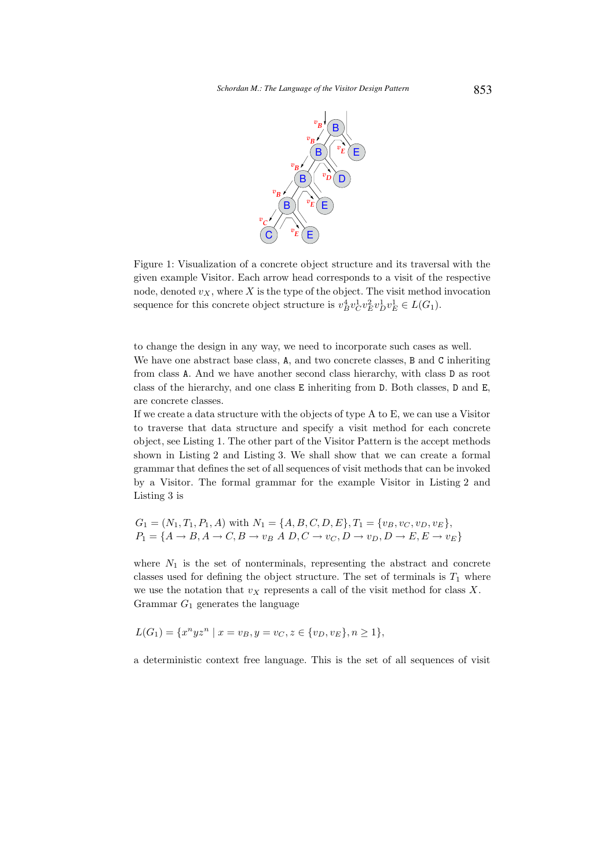

Figure 1: Visualization of a concrete object structure and its traversal with the given example Visitor. Each arrow head corresponds to a visit of the respective node, denoted  $v_X$ , where X is the type of the object. The visit method invocation sequence for this concrete object structure is  $v_B^4 v_C^1 v_E^2 v_D^1 v_E^1 \in L(G_1)$ .

to change the design in any way, we need to incorporate such cases as well. We have one abstract base class, A, and two concrete classes, B and C inheriting from class A. And we have another second class hierarchy, with class D as root class of the hierarchy, and one class E inheriting from D. Both classes, D and E, are concrete classes.

If we create a data structure with the objects of type A to E, we can use a Visitor to traverse that data structure and specify a visit method for each concrete object, see Listing 1. The other part of the Visitor Pattern is the accept methods shown in Listing 2 and Listing 3. We shall show that we can create a formal grammar that defines the set of all sequences of visit methods that can be invoked by a Visitor. The formal grammar for the example Visitor in Listing 2 and Listing 3 is

$$
G_1 = (N_1, T_1, P_1, A) \text{ with } N_1 = \{A, B, C, D, E\}, T_1 = \{v_B, v_C, v_D, v_E\},
$$
  

$$
P_1 = \{A \rightarrow B, A \rightarrow C, B \rightarrow v_B A D, C \rightarrow v_C, D \rightarrow v_D, D \rightarrow E, E \rightarrow v_E\}
$$

where  $N_1$  is the set of nonterminals, representing the abstract and concrete classes used for defining the object structure. The set of terminals is  $T_1$  where we use the notation that  $v_X$  represents a call of the visit method for class X. Grammar  $G_1$  generates the language

$$
L(G_1) = \{x^n y z^n \mid x = v_B, y = v_C, z \in \{v_D, v_E\}, n \ge 1\},\
$$

a deterministic context free language. This is the set of all sequences of visit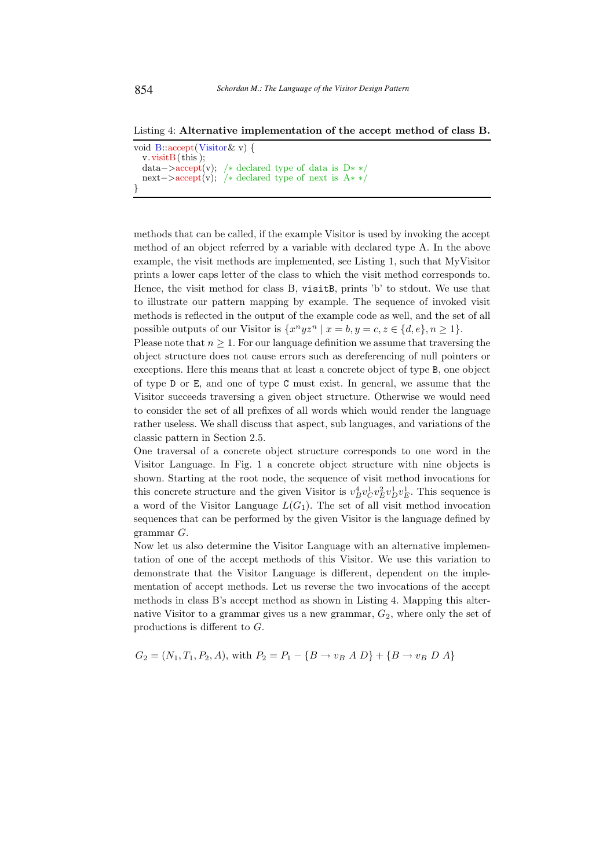Listing 4: Alternative implementation of the accept method of class B.

```
void B::accept(Visitor& v) {
  v.\text{visitB}(\text{this});data−>accept(v); /* declared type of data is D**/next−>accept(v); /∗ declared type of next is A∗ ∗/
}
```
methods that can be called, if the example Visitor is used by invoking the accept method of an object referred by a variable with declared type A. In the above example, the visit methods are implemented, see Listing 1, such that MyVisitor prints a lower caps letter of the class to which the visit method corresponds to. Hence, the visit method for class B, visitB, prints 'b' to stdout. We use that to illustrate our pattern mapping by example. The sequence of invoked visit methods is reflected in the output of the example code as well, and the set of all possible outputs of our Visitor is  $\{x^n y z^n \mid x = b, y = c, z \in \{d, e\}, n \ge 1\}.$ 

Please note that  $n \geq 1$ . For our language definition we assume that traversing the object structure does not cause errors such as dereferencing of null pointers or exceptions. Here this means that at least a concrete object of type B, one object of type D or E, and one of type C must exist. In general, we assume that the Visitor succeeds traversing a given object structure. Otherwise we would need to consider the set of all prefixes of all words which would render the language rather useless. We shall discuss that aspect, sub languages, and variations of the classic pattern in Section 2.5.

One traversal of a concrete object structure corresponds to one word in the Visitor Language. In Fig. 1 a concrete object structure with nine objects is shown. Starting at the root node, the sequence of visit method invocations for this concrete structure and the given Visitor is  $v_B^4 v_C^1 v_E^2 v_D^1 v_E^1$ . This sequence is a word of the Visitor Language  $L(G_1)$ . The set of all visit method invocation sequences that can be performed by the given Visitor is the language defined by grammar G.

Now let us also determine the Visitor Language with an alternative implementation of one of the accept methods of this Visitor. We use this variation to demonstrate that the Visitor Language is different, dependent on the implementation of accept methods. Let us reverse the two invocations of the accept methods in class B's accept method as shown in Listing 4. Mapping this alternative Visitor to a grammar gives us a new grammar,  $G_2$ , where only the set of productions is different to G.

$$
G_2 = (N_1, T_1, P_2, A)
$$
, with  $P_2 = P_1 - \{B \rightarrow v_B A D\} + \{B \rightarrow v_B D A\}$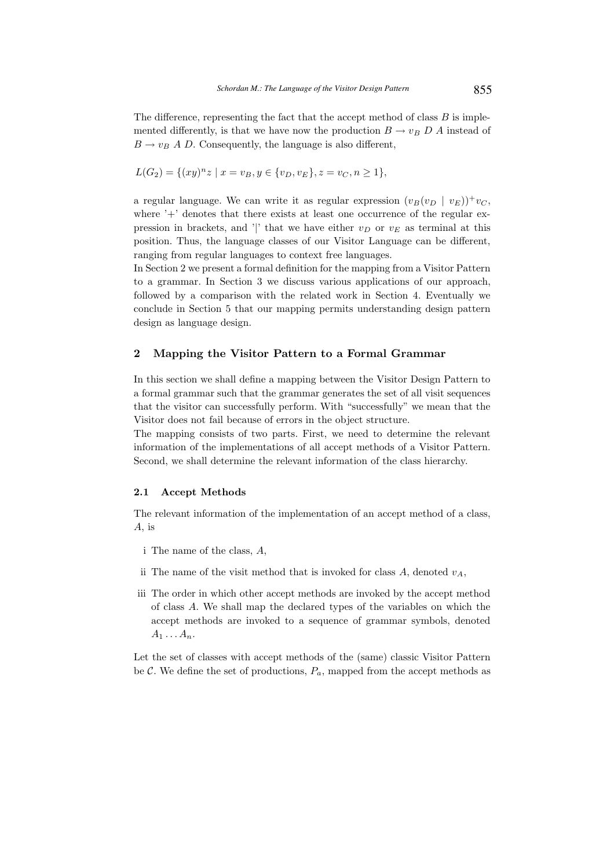The difference, representing the fact that the accept method of class  $B$  is implemented differently, is that we have now the production  $B \to v_B D A$  instead of  $B \rightarrow v_B A D$ . Consequently, the language is also different,

$$
L(G_2) = \{(xy)^n z \mid x = v_B, y \in \{v_D, v_E\}, z = v_C, n \ge 1\},\
$$

a regular language. We can write it as regular expression  $(v_B(v_D \mid v_E))^+ v_C$ , where  $+$  denotes that there exists at least one occurrence of the regular expression in brackets, and '|' that we have either  $v_D$  or  $v_E$  as terminal at this position. Thus, the language classes of our Visitor Language can be different, ranging from regular languages to context free languages.

In Section 2 we present a formal definition for the mapping from a Visitor Pattern to a grammar. In Section 3 we discuss various applications of our approach, followed by a comparison with the related work in Section 4. Eventually we conclude in Section 5 that our mapping permits understanding design pattern design as language design.

### 2 Mapping the Visitor Pattern to a Formal Grammar

In this section we shall define a mapping between the Visitor Design Pattern to a formal grammar such that the grammar generates the set of all visit sequences that the visitor can successfully perform. With "successfully" we mean that the Visitor does not fail because of errors in the object structure.

The mapping consists of two parts. First, we need to determine the relevant information of the implementations of all accept methods of a Visitor Pattern. Second, we shall determine the relevant information of the class hierarchy.

### 2.1 Accept Methods

The relevant information of the implementation of an accept method of a class,  $A_i$  is

- i The name of the class, A,
- ii The name of the visit method that is invoked for class A, denoted  $v_A$ ,
- iii The order in which other accept methods are invoked by the accept method of class A. We shall map the declared types of the variables on which the accept methods are invoked to a sequence of grammar symbols, denoted  $A_1 \ldots A_n$ .

Let the set of classes with accept methods of the (same) classic Visitor Pattern be  $\mathcal{C}$ . We define the set of productions,  $P_a$ , mapped from the accept methods as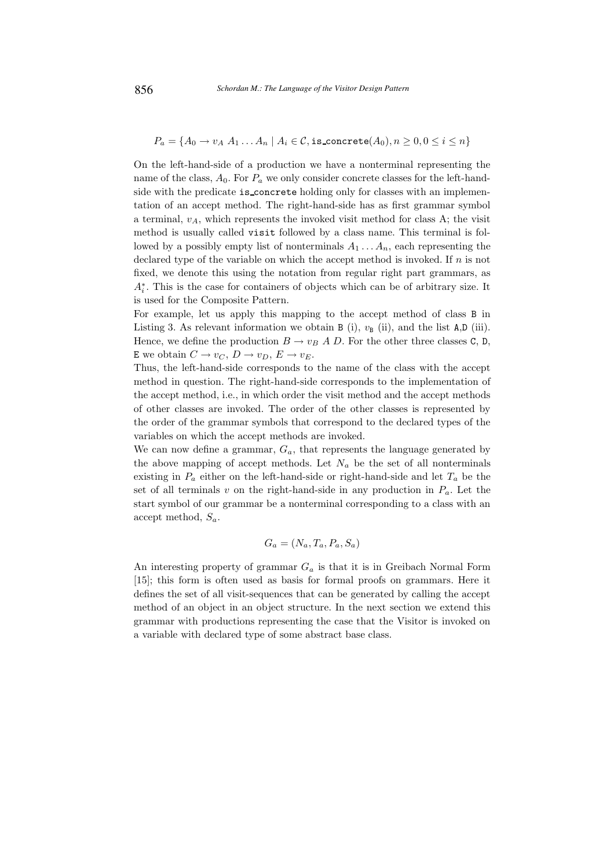$$
P_a = \{A_0 \rightarrow v_A \; A_1 \ldots A_n \; | \; A_i \in \mathcal{C}, \texttt{is\_concrete}(A_0), n \geq 0, 0 \leq i \leq n\}
$$

On the left-hand-side of a production we have a nonterminal representing the name of the class,  $A_0$ . For  $P_a$  we only consider concrete classes for the left-handside with the predicate is concrete holding only for classes with an implementation of an accept method. The right-hand-side has as first grammar symbol a terminal,  $v_A$ , which represents the invoked visit method for class A; the visit method is usually called visit followed by a class name. This terminal is followed by a possibly empty list of nonterminals  $A_1 \ldots A_n$ , each representing the declared type of the variable on which the accept method is invoked. If n is not fixed, we denote this using the notation from regular right part grammars, as  $A_i^*$ . This is the case for containers of objects which can be of arbitrary size. It is used for the Composite Pattern.

For example, let us apply this mapping to the accept method of class B in Listing 3. As relevant information we obtain B (i),  $v_B$  (ii), and the list A,D (iii). Hence, we define the production  $B \to v_B A D$ . For the other three classes C, D, E we obtain  $C \to v_C$ ,  $D \to v_D$ ,  $E \to v_E$ .

Thus, the left-hand-side corresponds to the name of the class with the accept method in question. The right-hand-side corresponds to the implementation of the accept method, i.e., in which order the visit method and the accept methods of other classes are invoked. The order of the other classes is represented by the order of the grammar symbols that correspond to the declared types of the variables on which the accept methods are invoked.

We can now define a grammar,  $G_a$ , that represents the language generated by the above mapping of accept methods. Let  $N_a$  be the set of all nonterminals existing in  $P_a$  either on the left-hand-side or right-hand-side and let  $T_a$  be the set of all terminals v on the right-hand-side in any production in  $P_a$ . Let the start symbol of our grammar be a nonterminal corresponding to a class with an accept method,  $S_a$ .

$$
G_a = (N_a, T_a, P_a, S_a)
$$

An interesting property of grammar  $G_a$  is that it is in Greibach Normal Form [15]; this form is often used as basis for formal proofs on grammars. Here it defines the set of all visit-sequences that can be generated by calling the accept method of an object in an object structure. In the next section we extend this grammar with productions representing the case that the Visitor is invoked on a variable with declared type of some abstract base class.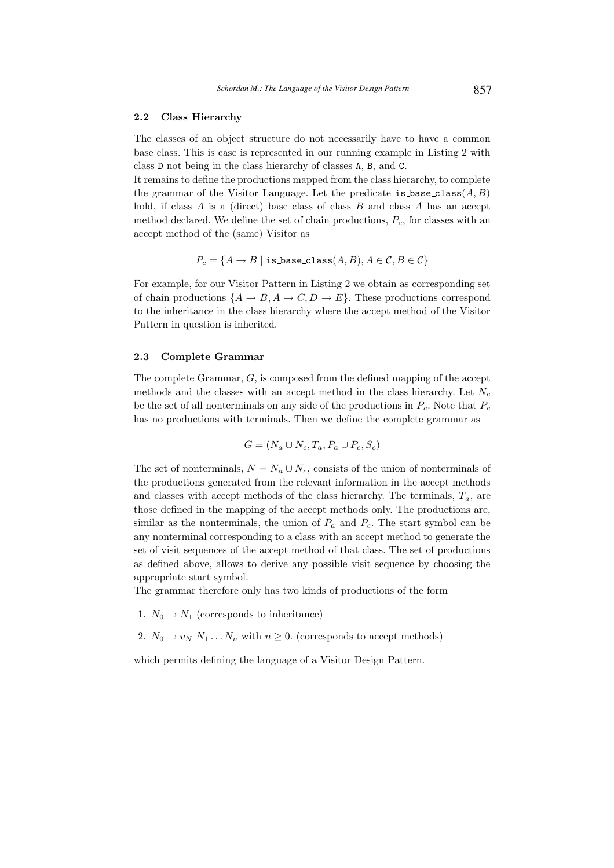### 2.2 Class Hierarchy

The classes of an object structure do not necessarily have to have a common base class. This is case is represented in our running example in Listing 2 with class D not being in the class hierarchy of classes A, B, and C.

It remains to define the productions mapped from the class hierarchy, to complete the grammar of the Visitor Language. Let the predicate is base class  $(A, B)$ hold, if class  $A$  is a (direct) base class of class  $B$  and class  $A$  has an accept method declared. We define the set of chain productions,  $P_c$ , for classes with an accept method of the (same) Visitor as

$$
P_c = \{A \rightarrow B \mid \texttt{is base\_class}(A, B), A \in \mathcal{C}, B \in \mathcal{C}\}
$$

For example, for our Visitor Pattern in Listing 2 we obtain as corresponding set of chain productions  $\{A \to B, A \to C, D \to E\}$ . These productions correspond to the inheritance in the class hierarchy where the accept method of the Visitor Pattern in question is inherited.

## 2.3 Complete Grammar

The complete Grammar, G, is composed from the defined mapping of the accept methods and the classes with an accept method in the class hierarchy. Let  $N_c$ be the set of all nonterminals on any side of the productions in  $P_c$ . Note that  $P_c$ has no productions with terminals. Then we define the complete grammar as

$$
G = (N_a \cup N_c, T_a, P_a \cup P_c, S_c)
$$

The set of nonterminals,  $N = N_a \cup N_c$ , consists of the union of nonterminals of the productions generated from the relevant information in the accept methods and classes with accept methods of the class hierarchy. The terminals,  $T_a$ , are those defined in the mapping of the accept methods only. The productions are, similar as the nonterminals, the union of  $P_a$  and  $P_c$ . The start symbol can be any nonterminal corresponding to a class with an accept method to generate the set of visit sequences of the accept method of that class. The set of productions as defined above, allows to derive any possible visit sequence by choosing the appropriate start symbol.

The grammar therefore only has two kinds of productions of the form

- 1.  $N_0 \rightarrow N_1$  (corresponds to inheritance)
- 2.  $N_0 \rightarrow v_N N_1 \dots N_n$  with  $n \geq 0$ . (corresponds to accept methods)

which permits defining the language of a Visitor Design Pattern.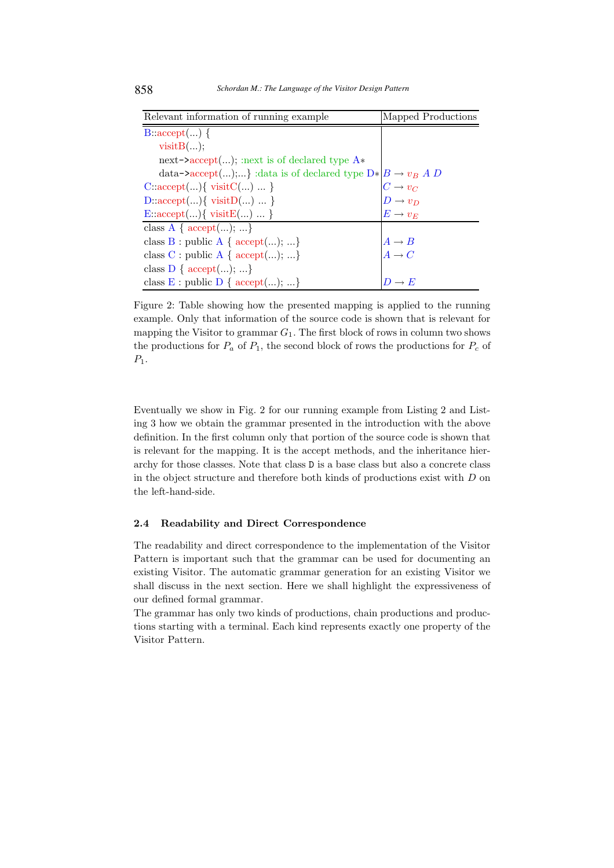| Relevant information of running example                         | Mapped Productions                                                                         |
|-----------------------------------------------------------------|--------------------------------------------------------------------------------------------|
| $B: accept()$ {                                                 |                                                                                            |
| visitB();                                                       |                                                                                            |
| next- $\text{`accept}();$ next is of declared type $A*$         |                                                                                            |
| data->accept();} :data is of declared type $D *  B \to v_B A D$ |                                                                                            |
| $C:\text{accept}(\ldots) \{ \text{visitC}(\ldots) \ldots \}$    |                                                                                            |
| $D:\text{accept}(\ldots) \{ \text{visitD}(\ldots) \ldots \}$    | $\begin{array}{c} C \rightarrow v_C \\ D \rightarrow v_D \\ E \rightarrow v_E \end{array}$ |
| E:: $accept() \{ visitE()  \}$                                  |                                                                                            |
| class $A \{ accept(); \}$                                       |                                                                                            |
| class $B : \text{public A} \{ accept();  \}$                    | $A \rightarrow B$<br>$A \rightarrow C$                                                     |
| class C : public A { $accept(); $ }                             |                                                                                            |
| class $D \{ accept(); \}$                                       |                                                                                            |
| class $E : \text{public } D \{ accept(); \}$                    | $D\to E$                                                                                   |

Figure 2: Table showing how the presented mapping is applied to the running example. Only that information of the source code is shown that is relevant for mapping the Visitor to grammar  $G_1$ . The first block of rows in column two shows the productions for  $P_a$  of  $P_1$ , the second block of rows the productions for  $P_c$  of  $P_1$ .

Eventually we show in Fig. 2 for our running example from Listing 2 and Listing 3 how we obtain the grammar presented in the introduction with the above definition. In the first column only that portion of the source code is shown that is relevant for the mapping. It is the accept methods, and the inheritance hierarchy for those classes. Note that class D is a base class but also a concrete class in the object structure and therefore both kinds of productions exist with  $D$  on the left-hand-side.

# 2.4 Readability and Direct Correspondence

The readability and direct correspondence to the implementation of the Visitor Pattern is important such that the grammar can be used for documenting an existing Visitor. The automatic grammar generation for an existing Visitor we shall discuss in the next section. Here we shall highlight the expressiveness of our defined formal grammar.

The grammar has only two kinds of productions, chain productions and productions starting with a terminal. Each kind represents exactly one property of the Visitor Pattern.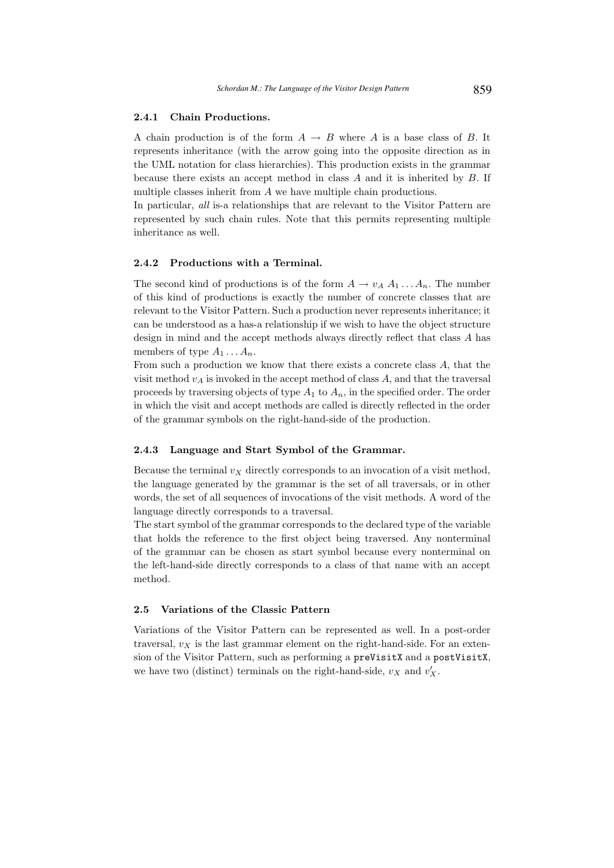# 2.4.1 Chain Productions.

A chain production is of the form  $A \rightarrow B$  where A is a base class of B. It represents inheritance (with the arrow going into the opposite direction as in the UML notation for class hierarchies). This production exists in the grammar because there exists an accept method in class  $A$  and it is inherited by  $B$ . If multiple classes inherit from A we have multiple chain productions.

In particular, *all* is-a relationships that are relevant to the Visitor Pattern are represented by such chain rules. Note that this permits representing multiple inheritance as well.

## 2.4.2 Productions with a Terminal.

The second kind of productions is of the form  $A \to v_A A_1 \dots A_n$ . The number of this kind of productions is exactly the number of concrete classes that are relevant to the Visitor Pattern. Such a production never represents inheritance; it can be understood as a has-a relationship if we wish to have the object structure design in mind and the accept methods always directly reflect that class A has members of type  $A_1 \ldots A_n$ .

From such a production we know that there exists a concrete class A, that the visit method  $v_A$  is invoked in the accept method of class A, and that the traversal proceeds by traversing objects of type  $A_1$  to  $A_n$ , in the specified order. The order in which the visit and accept methods are called is directly reflected in the order of the grammar symbols on the right-hand-side of the production.

#### 2.4.3 Language and Start Symbol of the Grammar.

Because the terminal  $v<sub>X</sub>$  directly corresponds to an invocation of a visit method, the language generated by the grammar is the set of all traversals, or in other words, the set of all sequences of invocations of the visit methods. A word of the language directly corresponds to a traversal.

The start symbol of the grammar corresponds to the declared type of the variable that holds the reference to the first object being traversed. Any nonterminal of the grammar can be chosen as start symbol because every nonterminal on the left-hand-side directly corresponds to a class of that name with an accept method.

## 2.5 Variations of the Classic Pattern

Variations of the Visitor Pattern can be represented as well. In a post-order traversal,  $v<sub>X</sub>$  is the last grammar element on the right-hand-side. For an extension of the Visitor Pattern, such as performing a preVisitX and a postVisitX, we have two (distinct) terminals on the right-hand-side,  $v_X$  and  $v'_X$ .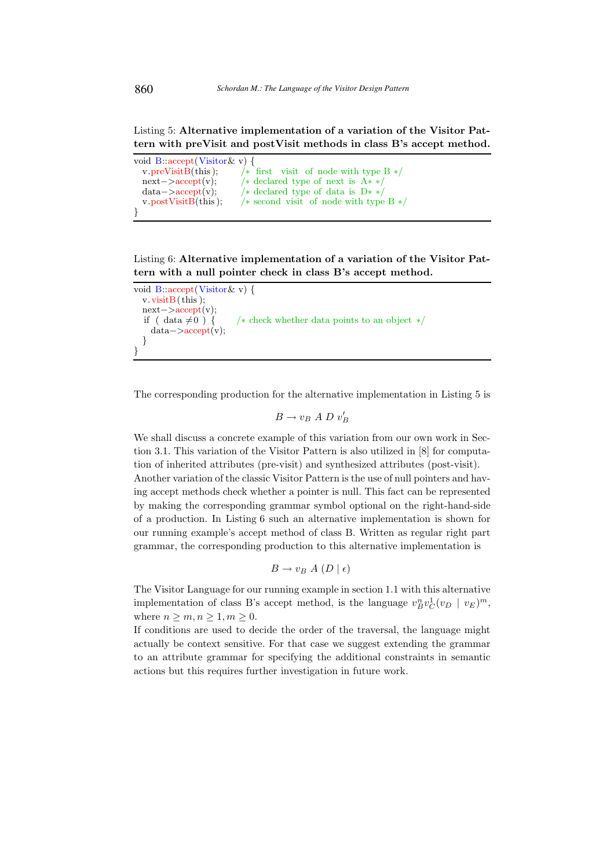Listing 5: Alternative implementation of a variation of the Visitor Pattern with preVisit and postVisit methods in class B's accept method.

| void B::accept(Visitor & v) { |                                           |
|-------------------------------|-------------------------------------------|
| $v.\text{preVisitB}$ (this);  | $/*$ first visit of node with type B $*/$ |
| $next->accept(v);$            | /* declared type of next is $A**/$        |
| $data - > accept(v);$         | /* declared type of data is $D**/$        |
| $v.$ post Visit B(this);      | $/*$ second visit of node with type $B*/$ |
|                               |                                           |

Listing 6: Alternative implementation of a variation of the Visitor Pattern with a null pointer check in class B's accept method.

```
void B::accept(Visitor& v) {
  v<u>v.</u> visit<math>B(t)<sub>is</sub>);
  next−>accept(v);
  if ( data \neq 0 ) { /* check whether data points to an object */data−>accept(v);
  }
}
```
The corresponding production for the alternative implementation in Listing 5 is

$$
B \to v_B A D v'_B
$$

We shall discuss a concrete example of this variation from our own work in Section 3.1. This variation of the Visitor Pattern is also utilized in [8] for computation of inherited attributes (pre-visit) and synthesized attributes (post-visit). Another variation of the classic Visitor Pattern is the use of null pointers and having accept methods check whether a pointer is null. This fact can be represented by making the corresponding grammar symbol optional on the right-hand-side of a production. In Listing 6 such an alternative implementation is shown for our running example's accept method of class B. Written as regular right part grammar, the corresponding production to this alternative implementation is

$$
B \to v_B A (D \mid \epsilon)
$$

The Visitor Language for our running example in section 1.1 with this alternative implementation of class B's accept method, is the language  $v_B^nv_C^1(v_D | v_E)^m$ , where  $n \geq m, n \geq 1, m \geq 0$ .

If conditions are used to decide the order of the traversal, the language might actually be context sensitive. For that case we suggest extending the grammar to an attribute grammar for specifying the additional constraints in semantic actions but this requires further investigation in future work.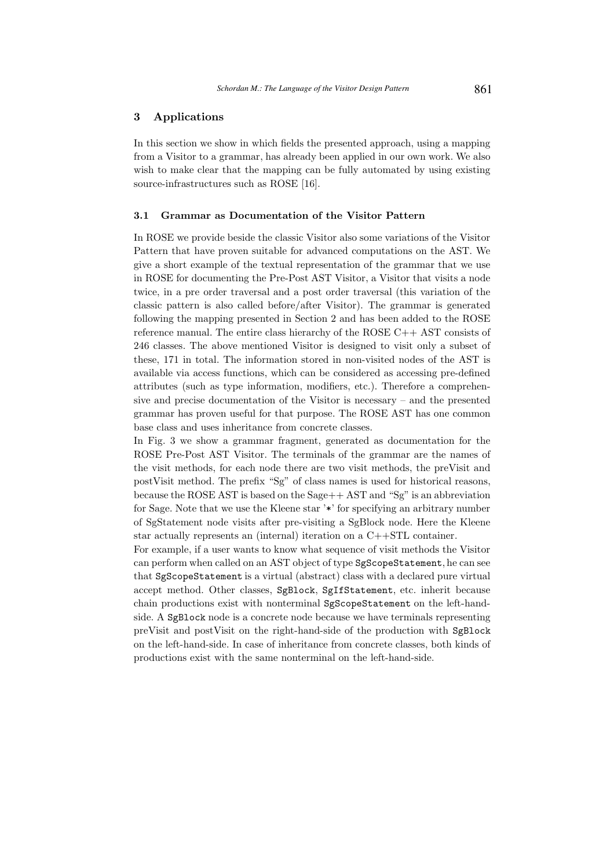# 3 Applications

In this section we show in which fields the presented approach, using a mapping from a Visitor to a grammar, has already been applied in our own work. We also wish to make clear that the mapping can be fully automated by using existing source-infrastructures such as ROSE [16].

## 3.1 Grammar as Documentation of the Visitor Pattern

In ROSE we provide beside the classic Visitor also some variations of the Visitor Pattern that have proven suitable for advanced computations on the AST. We give a short example of the textual representation of the grammar that we use in ROSE for documenting the Pre-Post AST Visitor, a Visitor that visits a node twice, in a pre order traversal and a post order traversal (this variation of the classic pattern is also called before/after Visitor). The grammar is generated following the mapping presented in Section 2 and has been added to the ROSE reference manual. The entire class hierarchy of the ROSE C++ AST consists of 246 classes. The above mentioned Visitor is designed to visit only a subset of these, 171 in total. The information stored in non-visited nodes of the AST is available via access functions, which can be considered as accessing pre-defined attributes (such as type information, modifiers, etc.). Therefore a comprehensive and precise documentation of the Visitor is necessary – and the presented grammar has proven useful for that purpose. The ROSE AST has one common base class and uses inheritance from concrete classes.

In Fig. 3 we show a grammar fragment, generated as documentation for the ROSE Pre-Post AST Visitor. The terminals of the grammar are the names of the visit methods, for each node there are two visit methods, the preVisit and postVisit method. The prefix "Sg" of class names is used for historical reasons, because the ROSE AST is based on the Sage++ AST and "Sg" is an abbreviation for Sage. Note that we use the Kleene star '\*' for specifying an arbitrary number of SgStatement node visits after pre-visiting a SgBlock node. Here the Kleene star actually represents an (internal) iteration on a C++STL container.

For example, if a user wants to know what sequence of visit methods the Visitor can perform when called on an AST object of type SgScopeStatement, he can see that SgScopeStatement is a virtual (abstract) class with a declared pure virtual accept method. Other classes, SgBlock, SgIfStatement, etc. inherit because chain productions exist with nonterminal SgScopeStatement on the left-handside. A SgBlock node is a concrete node because we have terminals representing preVisit and postVisit on the right-hand-side of the production with SgBlock on the left-hand-side. In case of inheritance from concrete classes, both kinds of productions exist with the same nonterminal on the left-hand-side.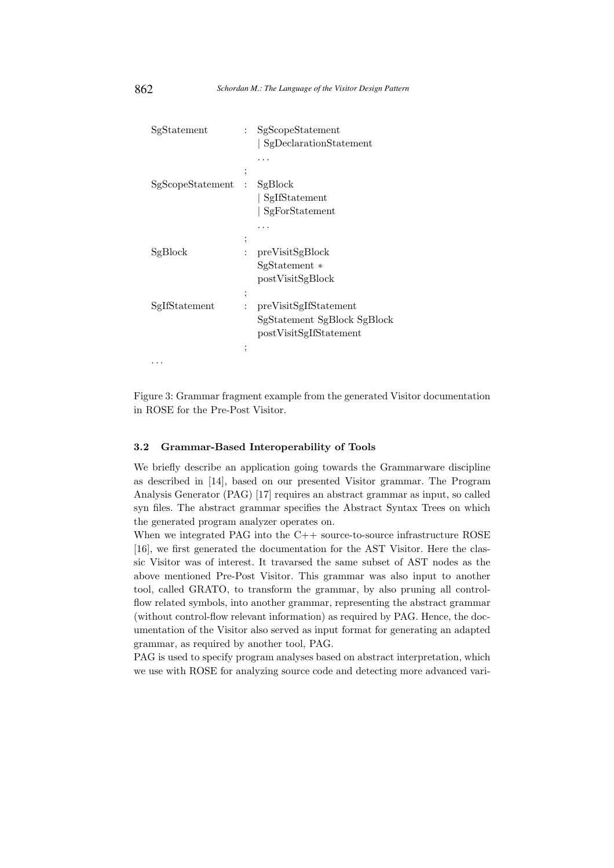| SgStatement      | $\mathbf{r}$   | SgScopeStatement            |
|------------------|----------------|-----------------------------|
|                  |                | SgDeclarationStatement      |
|                  |                |                             |
|                  | ,              |                             |
| SgScopeStatement | $\mathcal{L}$  | SgBlock                     |
|                  |                | SgIfStatement               |
|                  |                | SgForStatement              |
|                  |                |                             |
|                  | ,              |                             |
| SgBlock          | $\ddot{\cdot}$ | preVisitSgBlock             |
|                  |                | $SgStatement*$              |
|                  |                | postVisitSgBlock            |
|                  | ;              |                             |
| SgIfStatement    |                | preVisitSgIfStatement       |
|                  |                | SgStatement SgBlock SgBlock |
|                  |                | postVisitSgIfStatement      |
|                  | ,              |                             |
|                  |                |                             |
|                  |                |                             |

Figure 3: Grammar fragment example from the generated Visitor documentation in ROSE for the Pre-Post Visitor.

# 3.2 Grammar-Based Interoperability of Tools

We briefly describe an application going towards the Grammarware discipline as described in [14], based on our presented Visitor grammar. The Program Analysis Generator (PAG) [17] requires an abstract grammar as input, so called syn files. The abstract grammar specifies the Abstract Syntax Trees on which the generated program analyzer operates on.

When we integrated PAG into the C++ source-to-source infrastructure ROSE [16], we first generated the documentation for the AST Visitor. Here the classic Visitor was of interest. It travarsed the same subset of AST nodes as the above mentioned Pre-Post Visitor. This grammar was also input to another tool, called GRATO, to transform the grammar, by also pruning all controlflow related symbols, into another grammar, representing the abstract grammar (without control-flow relevant information) as required by PAG. Hence, the documentation of the Visitor also served as input format for generating an adapted grammar, as required by another tool, PAG.

PAG is used to specify program analyses based on abstract interpretation, which we use with ROSE for analyzing source code and detecting more advanced vari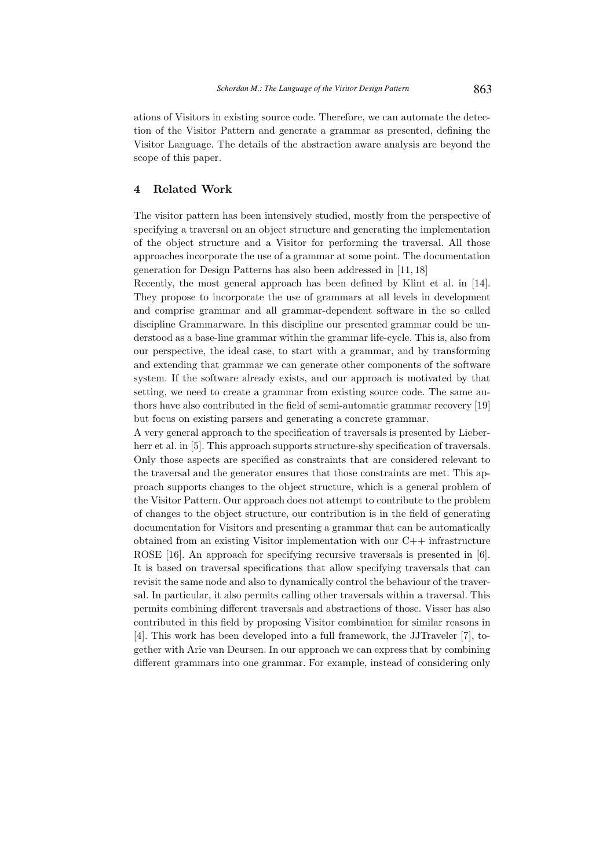ations of Visitors in existing source code. Therefore, we can automate the detection of the Visitor Pattern and generate a grammar as presented, defining the Visitor Language. The details of the abstraction aware analysis are beyond the scope of this paper.

# 4 Related Work

The visitor pattern has been intensively studied, mostly from the perspective of specifying a traversal on an object structure and generating the implementation of the object structure and a Visitor for performing the traversal. All those approaches incorporate the use of a grammar at some point. The documentation generation for Design Patterns has also been addressed in [11, 18]

Recently, the most general approach has been defined by Klint et al. in [14]. They propose to incorporate the use of grammars at all levels in development and comprise grammar and all grammar-dependent software in the so called discipline Grammarware. In this discipline our presented grammar could be understood as a base-line grammar within the grammar life-cycle. This is, also from our perspective, the ideal case, to start with a grammar, and by transforming and extending that grammar we can generate other components of the software system. If the software already exists, and our approach is motivated by that setting, we need to create a grammar from existing source code. The same authors have also contributed in the field of semi-automatic grammar recovery [19] but focus on existing parsers and generating a concrete grammar.

A very general approach to the specification of traversals is presented by Lieberherr et al. in [5]. This approach supports structure-shy specification of traversals. Only those aspects are specified as constraints that are considered relevant to the traversal and the generator ensures that those constraints are met. This approach supports changes to the object structure, which is a general problem of the Visitor Pattern. Our approach does not attempt to contribute to the problem of changes to the object structure, our contribution is in the field of generating documentation for Visitors and presenting a grammar that can be automatically obtained from an existing Visitor implementation with our  $C++$  infrastructure ROSE [16]. An approach for specifying recursive traversals is presented in [6]. It is based on traversal specifications that allow specifying traversals that can revisit the same node and also to dynamically control the behaviour of the traversal. In particular, it also permits calling other traversals within a traversal. This permits combining different traversals and abstractions of those. Visser has also contributed in this field by proposing Visitor combination for similar reasons in [4]. This work has been developed into a full framework, the JJTraveler [7], together with Arie van Deursen. In our approach we can express that by combining different grammars into one grammar. For example, instead of considering only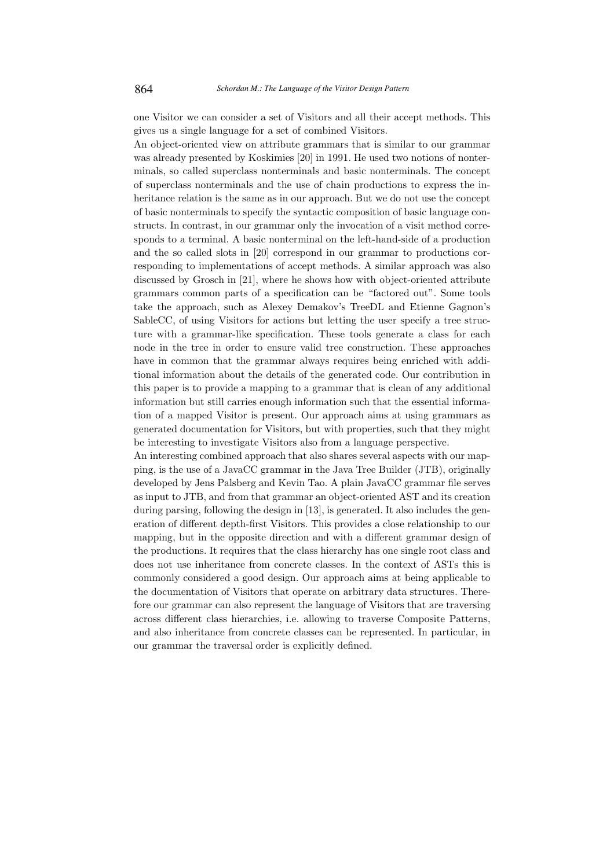one Visitor we can consider a set of Visitors and all their accept methods. This gives us a single language for a set of combined Visitors.

An object-oriented view on attribute grammars that is similar to our grammar was already presented by Koskimies [20] in 1991. He used two notions of nonterminals, so called superclass nonterminals and basic nonterminals. The concept of superclass nonterminals and the use of chain productions to express the inheritance relation is the same as in our approach. But we do not use the concept of basic nonterminals to specify the syntactic composition of basic language constructs. In contrast, in our grammar only the invocation of a visit method corresponds to a terminal. A basic nonterminal on the left-hand-side of a production and the so called slots in [20] correspond in our grammar to productions corresponding to implementations of accept methods. A similar approach was also discussed by Grosch in [21], where he shows how with object-oriented attribute grammars common parts of a specification can be "factored out". Some tools take the approach, such as Alexey Demakov's TreeDL and Etienne Gagnon's SableCC, of using Visitors for actions but letting the user specify a tree structure with a grammar-like specification. These tools generate a class for each node in the tree in order to ensure valid tree construction. These approaches have in common that the grammar always requires being enriched with additional information about the details of the generated code. Our contribution in this paper is to provide a mapping to a grammar that is clean of any additional information but still carries enough information such that the essential information of a mapped Visitor is present. Our approach aims at using grammars as generated documentation for Visitors, but with properties, such that they might be interesting to investigate Visitors also from a language perspective.

An interesting combined approach that also shares several aspects with our mapping, is the use of a JavaCC grammar in the Java Tree Builder (JTB), originally developed by Jens Palsberg and Kevin Tao. A plain JavaCC grammar file serves as input to JTB, and from that grammar an object-oriented AST and its creation during parsing, following the design in [13], is generated. It also includes the generation of different depth-first Visitors. This provides a close relationship to our mapping, but in the opposite direction and with a different grammar design of the productions. It requires that the class hierarchy has one single root class and does not use inheritance from concrete classes. In the context of ASTs this is commonly considered a good design. Our approach aims at being applicable to the documentation of Visitors that operate on arbitrary data structures. Therefore our grammar can also represent the language of Visitors that are traversing across different class hierarchies, i.e. allowing to traverse Composite Patterns, and also inheritance from concrete classes can be represented. In particular, in our grammar the traversal order is explicitly defined.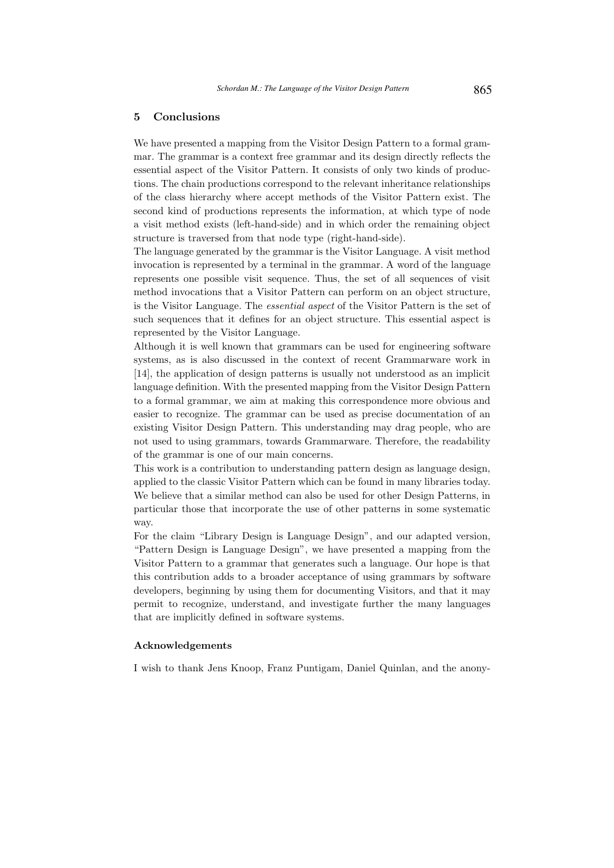# 5 Conclusions

We have presented a mapping from the Visitor Design Pattern to a formal grammar. The grammar is a context free grammar and its design directly reflects the essential aspect of the Visitor Pattern. It consists of only two kinds of productions. The chain productions correspond to the relevant inheritance relationships of the class hierarchy where accept methods of the Visitor Pattern exist. The second kind of productions represents the information, at which type of node a visit method exists (left-hand-side) and in which order the remaining object structure is traversed from that node type (right-hand-side).

The language generated by the grammar is the Visitor Language. A visit method invocation is represented by a terminal in the grammar. A word of the language represents one possible visit sequence. Thus, the set of all sequences of visit method invocations that a Visitor Pattern can perform on an object structure, is the Visitor Language. The essential aspect of the Visitor Pattern is the set of such sequences that it defines for an object structure. This essential aspect is represented by the Visitor Language.

Although it is well known that grammars can be used for engineering software systems, as is also discussed in the context of recent Grammarware work in [14], the application of design patterns is usually not understood as an implicit language definition. With the presented mapping from the Visitor Design Pattern to a formal grammar, we aim at making this correspondence more obvious and easier to recognize. The grammar can be used as precise documentation of an existing Visitor Design Pattern. This understanding may drag people, who are not used to using grammars, towards Grammarware. Therefore, the readability of the grammar is one of our main concerns.

This work is a contribution to understanding pattern design as language design, applied to the classic Visitor Pattern which can be found in many libraries today. We believe that a similar method can also be used for other Design Patterns, in particular those that incorporate the use of other patterns in some systematic way.

For the claim "Library Design is Language Design", and our adapted version, "Pattern Design is Language Design", we have presented a mapping from the Visitor Pattern to a grammar that generates such a language. Our hope is that this contribution adds to a broader acceptance of using grammars by software developers, beginning by using them for documenting Visitors, and that it may permit to recognize, understand, and investigate further the many languages that are implicitly defined in software systems.

## Acknowledgements

I wish to thank Jens Knoop, Franz Puntigam, Daniel Quinlan, and the anony-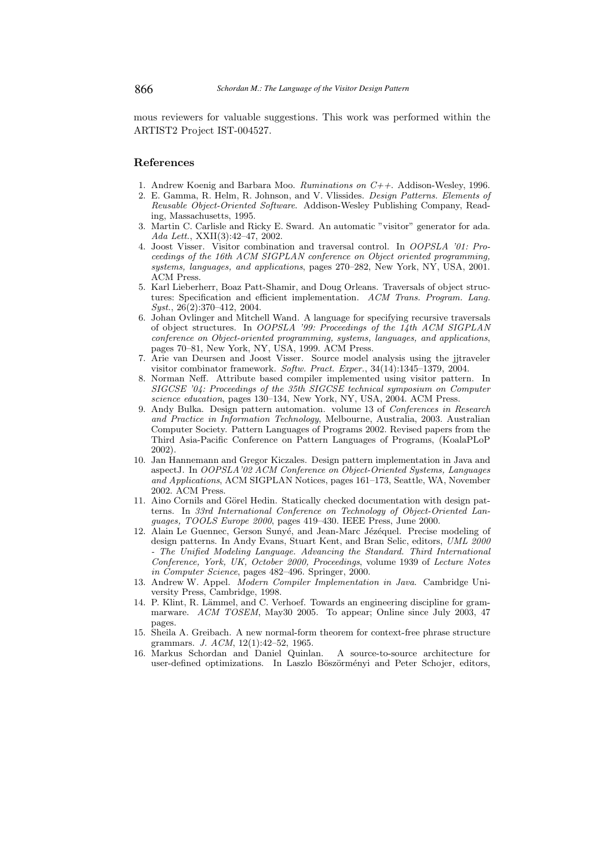mous reviewers for valuable suggestions. This work was performed within the ARTIST2 Project IST-004527.

## References

- 1. Andrew Koenig and Barbara Moo. *Ruminations on*  $C_{++}$ *.* Addison-Wesley, 1996.
- 2. E. Gamma, R. Helm, R. Johnson, and V. Vlissides. Design Patterns. Elements of Reusable Object-Oriented Software. Addison-Wesley Publishing Company, Reading, Massachusetts, 1995.
- 3. Martin C. Carlisle and Ricky E. Sward. An automatic "visitor" generator for ada. Ada Lett., XXII(3):42–47, 2002.
- 4. Joost Visser. Visitor combination and traversal control. In OOPSLA '01: Proceedings of the 16th ACM SIGPLAN conference on Object oriented programming, systems, languages, and applications, pages 270–282, New York, NY, USA, 2001. ACM Press.
- 5. Karl Lieberherr, Boaz Patt-Shamir, and Doug Orleans. Traversals of object structures: Specification and efficient implementation. ACM Trans. Program. Lang. Syst., 26(2):370-412, 2004.
- 6. Johan Ovlinger and Mitchell Wand. A language for specifying recursive traversals of object structures. In OOPSLA '99: Proceedings of the 14th ACM SIGPLAN conference on Object-oriented programming, systems, languages, and applications, pages 70–81, New York, NY, USA, 1999. ACM Press.
- 7. Arie van Deursen and Joost Visser. Source model analysis using the jjtraveler visitor combinator framework. Softw. Pract. Exper., 34(14):1345–1379, 2004.
- 8. Norman Neff. Attribute based compiler implemented using visitor pattern. In SIGCSE '04: Proceedings of the 35th SIGCSE technical symposium on Computer science education, pages 130–134, New York, NY, USA, 2004. ACM Press.
- 9. Andy Bulka. Design pattern automation. volume 13 of Conferences in Research and Practice in Information Technology, Melbourne, Australia, 2003. Australian Computer Society. Pattern Languages of Programs 2002. Revised papers from the Third Asia-Pacific Conference on Pattern Languages of Programs, (KoalaPLoP 2002).
- 10. Jan Hannemann and Gregor Kiczales. Design pattern implementation in Java and aspectJ. In OOPSLA'02 ACM Conference on Object-Oriented Systems, Languages and Applications, ACM SIGPLAN Notices, pages 161–173, Seattle, WA, November 2002. ACM Press.
- 11. Aino Cornils and Görel Hedin. Statically checked documentation with design patterns. In 33rd International Conference on Technology of Object-Oriented Languages, TOOLS Europe 2000, pages 419–430. IEEE Press, June 2000.
- 12. Alain Le Guennec, Gerson Sunyé, and Jean-Marc Jézéquel. Precise modeling of design patterns. In Andy Evans, Stuart Kent, and Bran Selic, editors, UML 2000 - The Unified Modeling Language. Advancing the Standard. Third International Conference, York, UK, October 2000, Proceedings, volume 1939 of Lecture Notes in Computer Science, pages 482–496. Springer, 2000.
- 13. Andrew W. Appel. Modern Compiler Implementation in Java. Cambridge University Press, Cambridge, 1998.
- 14. P. Klint, R. Lämmel, and C. Verhoef. Towards an engineering discipline for grammarware. ACM TOSEM, May30 2005. To appear; Online since July 2003, 47 pages.
- 15. Sheila A. Greibach. A new normal-form theorem for context-free phrase structure grammars. J. ACM, 12(1):42–52, 1965.
- 16. Markus Schordan and Daniel Quinlan. A source-to-source architecture for user-defined optimizations. In Laszlo Böszörményi and Peter Schojer, editors,